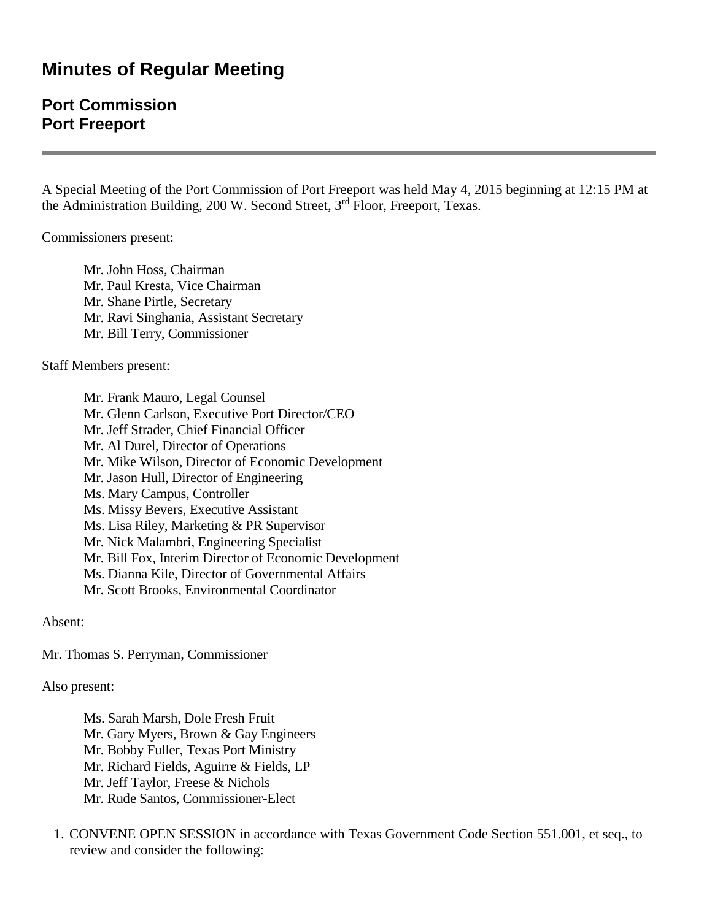## **Minutes of Regular Meeting**

## **Port Commission Port Freeport**

A Special Meeting of the Port Commission of Port Freeport was held May 4, 2015 beginning at 12:15 PM at the Administration Building, 200 W. Second Street, 3<sup>rd</sup> Floor, Freeport, Texas.

Commissioners present:

Mr. John Hoss, Chairman Mr. Paul Kresta, Vice Chairman Mr. Shane Pirtle, Secretary Mr. Ravi Singhania, Assistant Secretary Mr. Bill Terry, Commissioner

Staff Members present:

Mr. Frank Mauro, Legal Counsel Mr. Glenn Carlson, Executive Port Director/CEO Mr. Jeff Strader, Chief Financial Officer Mr. Al Durel, Director of Operations Mr. Mike Wilson, Director of Economic Development Mr. Jason Hull, Director of Engineering Ms. Mary Campus, Controller Ms. Missy Bevers, Executive Assistant Ms. Lisa Riley, Marketing & PR Supervisor Mr. Nick Malambri, Engineering Specialist Mr. Bill Fox, Interim Director of Economic Development Ms. Dianna Kile, Director of Governmental Affairs Mr. Scott Brooks, Environmental Coordinator

Absent:

Mr. Thomas S. Perryman, Commissioner

Also present:

Ms. Sarah Marsh, Dole Fresh Fruit Mr. Gary Myers, Brown & Gay Engineers Mr. Bobby Fuller, Texas Port Ministry Mr. Richard Fields, Aguirre & Fields, LP Mr. Jeff Taylor, Freese & Nichols Mr. Rude Santos, Commissioner-Elect

1. CONVENE OPEN SESSION in accordance with Texas Government Code Section 551.001, et seq., to review and consider the following: